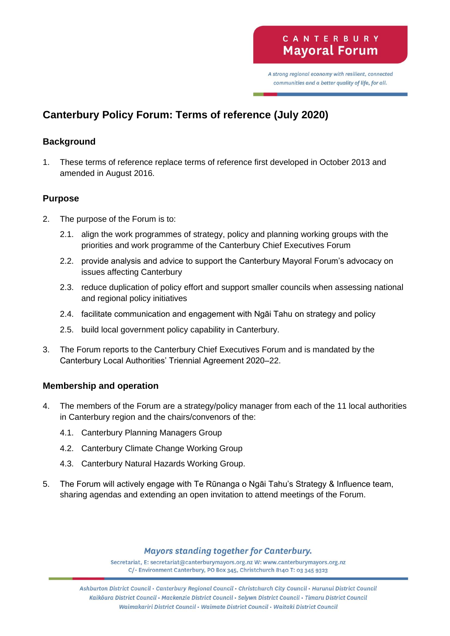A strong regional economy with resilient, connected communities and a better quality of life, for all.

# **Canterbury Policy Forum: Terms of reference (July 2020)**

## **Background**

1. These terms of reference replace terms of reference first developed in October 2013 and amended in August 2016.

## **Purpose**

- 2. The purpose of the Forum is to:
	- 2.1. align the work programmes of strategy, policy and planning working groups with the priorities and work programme of the Canterbury Chief Executives Forum
	- 2.2. provide analysis and advice to support the Canterbury Mayoral Forum's advocacy on issues affecting Canterbury
	- 2.3. reduce duplication of policy effort and support smaller councils when assessing national and regional policy initiatives
	- 2.4. facilitate communication and engagement with Ngāi Tahu on strategy and policy
	- 2.5. build local government policy capability in Canterbury.
- 3. The Forum reports to the Canterbury Chief Executives Forum and is mandated by the Canterbury Local Authorities' Triennial Agreement 2020–22.

## **Membership and operation**

- 4. The members of the Forum are a strategy/policy manager from each of the 11 local authorities in Canterbury region and the chairs/convenors of the:
	- 4.1. Canterbury Planning Managers Group
	- 4.2. Canterbury Climate Change Working Group
	- 4.3. Canterbury Natural Hazards Working Group.
- 5. The Forum will actively engage with Te Rūnanga o Ngāi Tahu's Strategy & Influence team, sharing agendas and extending an open invitation to attend meetings of the Forum.

## **Mayors standing together for Canterbury.**

Secretariat, E: secretariat@canterburymayors.org.nz W: www.canterburymayors.org.nz C/- Environment Canterbury, PO Box 345, Christchurch 8140 T: 03 345 9323